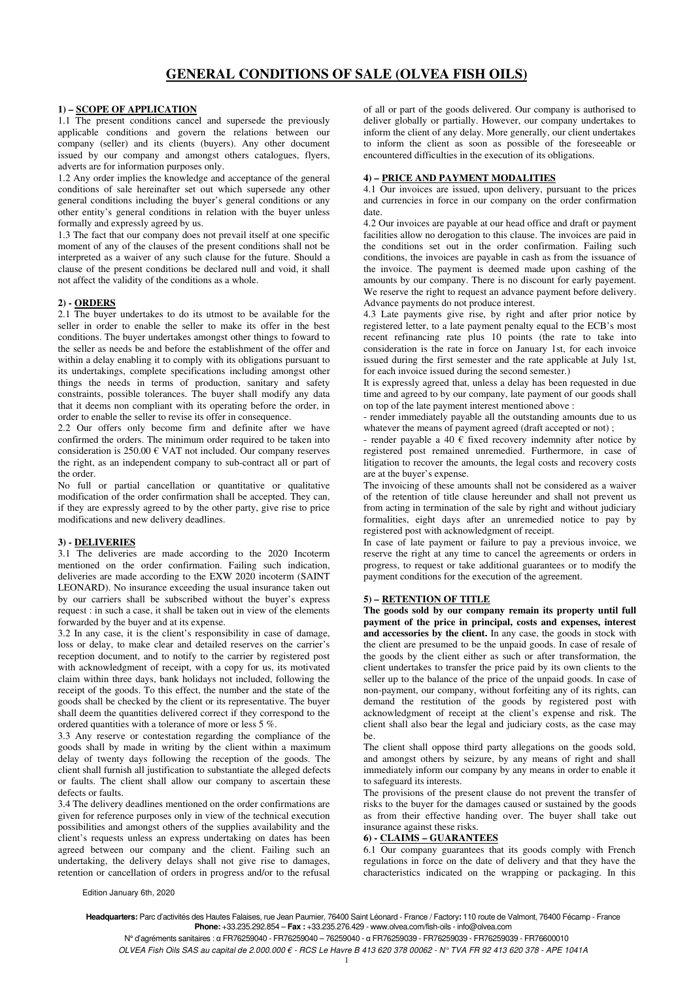# **1) – SCOPE OF APPLICATION**

1.1 The present conditions cancel and supersede the previously applicable conditions and govern the relations between our company (seller) and its clients (buyers). Any other document issued by our company and amongst others catalogues, flyers, adverts are for information purposes only.

1.2 Any order implies the knowledge and acceptance of the general conditions of sale hereinafter set out which supersede any other general conditions including the buyer's general conditions or any other entity's general conditions in relation with the buyer unless formally and expressly agreed by us.

1.3 The fact that our company does not prevail itself at one specific moment of any of the clauses of the present conditions shall not be interpreted as a waiver of any such clause for the future. Should a clause of the present conditions be declared null and void, it shall not affect the validity of the conditions as a whole.

#### **2) - ORDERS**

2.1 The buyer undertakes to do its utmost to be available for the seller in order to enable the seller to make its offer in the best conditions. The buyer undertakes amongst other things to foward to the seller as needs be and before the establishment of the offer and within a delay enabling it to comply with its obligations pursuant to its undertakings, complete specifications including amongst other things the needs in terms of production, sanitary and safety constraints, possible tolerances. The buyer shall modify any data that it deems non compliant with its operating before the order, in order to enable the seller to revise its offer in consequence.

2.2 Our offers only become firm and definite after we have confirmed the orders. The minimum order required to be taken into consideration is 250.00 € VAT not included. Our company reserves the right, as an independent company to sub-contract all or part of the order.

No full or partial cancellation or quantitative or qualitative modification of the order confirmation shall be accepted. They can, if they are expressly agreed to by the other party, give rise to price modifications and new delivery deadlines.

## **3) - DELIVERIES**

3.1 The deliveries are made according to the 2020 Incoterm mentioned on the order confirmation. Failing such indication, deliveries are made according to the EXW 2020 incoterm (SAINT LEONARD). No insurance exceeding the usual insurance taken out by our carriers shall be subscribed without the buyer's express request : in such a case, it shall be taken out in view of the elements forwarded by the buyer and at its expense.

3.2 In any case, it is the client's responsibility in case of damage, loss or delay, to make clear and detailed reserves on the carrier's reception document, and to notify to the carrier by registered post with acknowledgment of receipt, with a copy for us, its motivated claim within three days, bank holidays not included, following the receipt of the goods. To this effect, the number and the state of the goods shall be checked by the client or its representative. The buyer shall deem the quantities delivered correct if they correspond to the ordered quantities with a tolerance of more or less 5 %.

3.3 Any reserve or contestation regarding the compliance of the goods shall by made in writing by the client within a maximum delay of twenty days following the reception of the goods. The client shall furnish all justification to substantiate the alleged defects or faults. The client shall allow our company to ascertain these defects or faults.

3.4 The delivery deadlines mentioned on the order confirmations are given for reference purposes only in view of the technical execution possibilities and amongst others of the supplies availability and the client's requests unless an express undertaking on dates has been agreed between our company and the client. Failing such an undertaking, the delivery delays shall not give rise to damages, retention or cancellation of orders in progress and/or to the refusal

of all or part of the goods delivered. Our company is authorised to deliver globally or partially. However, our company undertakes to inform the client of any delay. More generally, our client undertakes to inform the client as soon as possible of the foreseeable or encountered difficulties in the execution of its obligations.

#### **4) – PRICE AND PAYMENT MODALITIES**

4.1 Our invoices are issued, upon delivery, pursuant to the prices and currencies in force in our company on the order confirmation date.

4.2 Our invoices are payable at our head office and draft or payment facilities allow no derogation to this clause. The invoices are paid in the conditions set out in the order confirmation. Failing such conditions, the invoices are payable in cash as from the issuance of the invoice. The payment is deemed made upon cashing of the amounts by our company. There is no discount for early payement. We reserve the right to request an advance payment before delivery. Advance payments do not produce interest.

4.3 Late payments give rise, by right and after prior notice by registered letter, to a late payment penalty equal to the ECB's most recent refinancing rate plus 10 points (the rate to take into consideration is the rate in force on January 1st, for each invoice issued during the first semester and the rate applicable at July 1st, for each invoice issued during the second semester.)

It is expressly agreed that, unless a delay has been requested in due time and agreed to by our company, late payment of our goods shall on top of the late payment interest mentioned above :

- render immediately payable all the outstanding amounts due to us whatever the means of payment agreed (draft accepted or not);

- render payable a 40  $\epsilon$  fixed recovery indemnity after notice by registered post remained unremedied. Furthermore, in case of litigation to recover the amounts, the legal costs and recovery costs are at the buyer's expense.

The invoicing of these amounts shall not be considered as a waiver of the retention of title clause hereunder and shall not prevent us from acting in termination of the sale by right and without judiciary formalities, eight days after an unremedied notice to pay by registered post with acknowledgment of receipt.

In case of late payment or failure to pay a previous invoice, we reserve the right at any time to cancel the agreements or orders in progress, to request or take additional guarantees or to modify the payment conditions for the execution of the agreement.

# **5) – RETENTION OF TITLE**

**The goods sold by our company remain its property until full payment of the price in principal, costs and expenses, interest and accessories by the client.** In any case, the goods in stock with the client are presumed to be the unpaid goods. In case of resale of the goods by the client either as such or after transformation, the client undertakes to transfer the price paid by its own clients to the seller up to the balance of the price of the unpaid goods. In case of non-payment, our company, without forfeiting any of its rights, can demand the restitution of the goods by registered post with acknowledgment of receipt at the client's expense and risk. The client shall also bear the legal and judiciary costs, as the case may be.

The client shall oppose third party allegations on the goods sold, and amongst others by seizure, by any means of right and shall immediately inform our company by any means in order to enable it to safeguard its interests.

The provisions of the present clause do not prevent the transfer of risks to the buyer for the damages caused or sustained by the goods as from their effective handing over. The buyer shall take out insurance against these risks.

# **6) - CLAIMS – GUARANTEES**

6.1 Our company guarantees that its goods comply with French regulations in force on the date of delivery and that they have the characteristics indicated on the wrapping or packaging. In this

Edition January 6th, 2020

**Headquarters:** Parc d'activités des Hautes Falaises, rue Jean Paumier, 76400 Saint Léonard - France / Factory**:** 110 route de Valmont, 76400 Fécamp - France **Phone:** +33.235.292.854 – **Fax :** +33.235.276.429 - www.olvea.com/fish-oils - info@olvea.com

N° d'agréments sanitaires : α FR76259040 - FR76259040 – 76259040 - α FR76259039 - FR76259039 - FR76259039 - FR76600010 OLVEA Fish Oils SAS au capital de 2.000.000 € - RCS Le Havre B 413 620 378 00062 - N° TVA FR 92 413 620 378 - APE 1041A